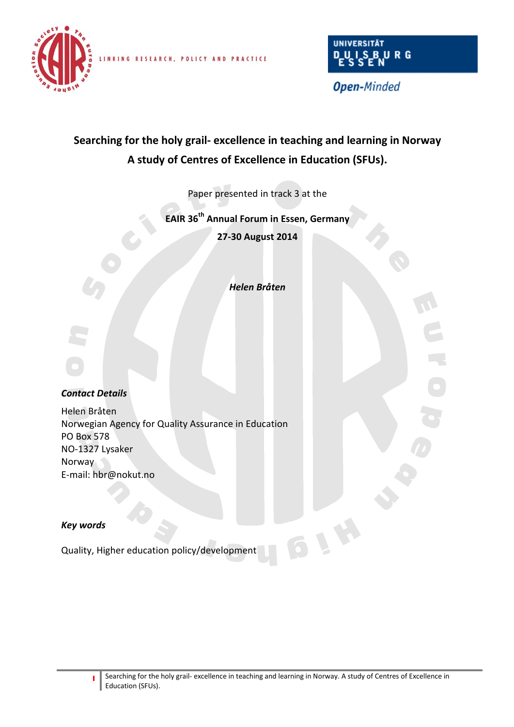

LINKING RESEARCH, POLICY AND PRACTICE



**Open-Minded** 

# **Searching for the holy grail- excellence in teaching and learning in Norway A study of Centres of Excellence in Education (SFUs).**

Paper presented in track 3 at the

**EAIR 36 th Annual Forum in Essen, Germany**

**27-30 August 2014**

*Helen Bråten*

#### *Contact Details*

Helen Bråten Norwegian Agency for Quality Assurance in Education PO Box 578 NO-1327 Lysaker Norway E-mail: hbr@nokut.no

### *Key words*

Quality, Higher education policy/development

**BLW**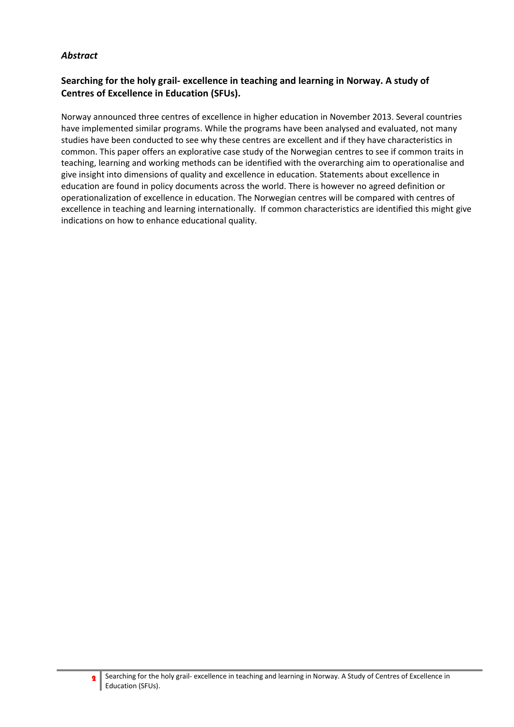## *Abstract*

# **Searching for the holy grail- excellence in teaching and learning in Norway. A study of Centres of Excellence in Education (SFUs).**

Norway announced three centres of excellence in higher education in November 2013. Several countries have implemented similar programs. While the programs have been analysed and evaluated, not many studies have been conducted to see why these centres are excellent and if they have characteristics in common. This paper offers an explorative case study of the Norwegian centres to see if common traits in teaching, learning and working methods can be identified with the overarching aim to operationalise and give insight into dimensions of quality and excellence in education. Statements about excellence in education are found in policy documents across the world. There is however no agreed definition or operationalization of excellence in education. The Norwegian centres will be compared with centres of excellence in teaching and learning internationally. If common characteristics are identified this might give indications on how to enhance educational quality.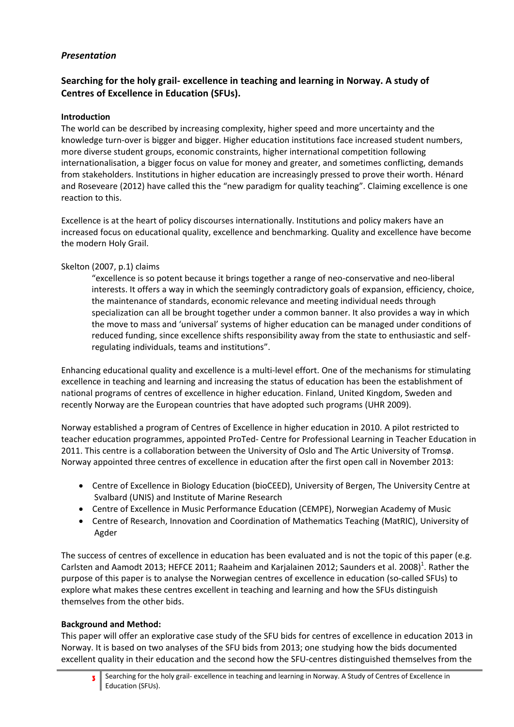# *Presentation*

# **Searching for the holy grail- excellence in teaching and learning in Norway. A study of Centres of Excellence in Education (SFUs).**

## **Introduction**

The world can be described by increasing complexity, higher speed and more uncertainty and the knowledge turn-over is bigger and bigger. Higher education institutions face increased student numbers, more diverse student groups, economic constraints, higher international competition following internationalisation, a bigger focus on value for money and greater, and sometimes conflicting, demands from stakeholders. Institutions in higher education are increasingly pressed to prove their worth. Hénard and Roseveare (2012) have called this the "new paradigm for quality teaching". Claiming excellence is one reaction to this.

Excellence is at the heart of policy discourses internationally. Institutions and policy makers have an increased focus on educational quality, excellence and benchmarking. Quality and excellence have become the modern Holy Grail.

## Skelton (2007, p.1) claims

"excellence is so potent because it brings together a range of neo-conservative and neo-liberal interests. It offers a way in which the seemingly contradictory goals of expansion, efficiency, choice, the maintenance of standards, economic relevance and meeting individual needs through specialization can all be brought together under a common banner. It also provides a way in which the move to mass and 'universal' systems of higher education can be managed under conditions of reduced funding, since excellence shifts responsibility away from the state to enthusiastic and selfregulating individuals, teams and institutions".

Enhancing educational quality and excellence is a multi-level effort. One of the mechanisms for stimulating excellence in teaching and learning and increasing the status of education has been the establishment of national programs of centres of excellence in higher education. Finland, United Kingdom, Sweden and recently Norway are the European countries that have adopted such programs (UHR 2009).

Norway established a program of Centres of Excellence in higher education in 2010. A pilot restricted to teacher education programmes, appointed ProTed- Centre for Professional Learning in Teacher Education in 2011. This centre is a collaboration between the University of Oslo and The Artic University of Tromsø. Norway appointed three centres of excellence in education after the first open call in November 2013:

- Centre of Excellence in Biology Education (bioCEED), University of Bergen, The University Centre at Svalbard (UNIS) and Institute of Marine Research
- Centre of Excellence in Music Performance Education (CEMPE), Norwegian Academy of Music
- Centre of Research, Innovation and Coordination of Mathematics Teaching (MatRIC), University of Agder

The success of centres of excellence in education has been evaluated and is not the topic of this paper (e.g. Carlsten and Aamodt 2013; HEFCE 2011; Raaheim and Karjalainen 2012; Saunders et al. 2008)<sup>1</sup>. Rather the purpose of this paper is to analyse the Norwegian centres of excellence in education (so-called SFUs) to explore what makes these centres excellent in teaching and learning and how the SFUs distinguish themselves from the other bids.

#### **Background and Method:**

This paper will offer an explorative case study of the SFU bids for centres of excellence in education 2013 in Norway. It is based on two analyses of the SFU bids from 2013; one studying how the bids documented excellent quality in their education and the second how the SFU-centres distinguished themselves from the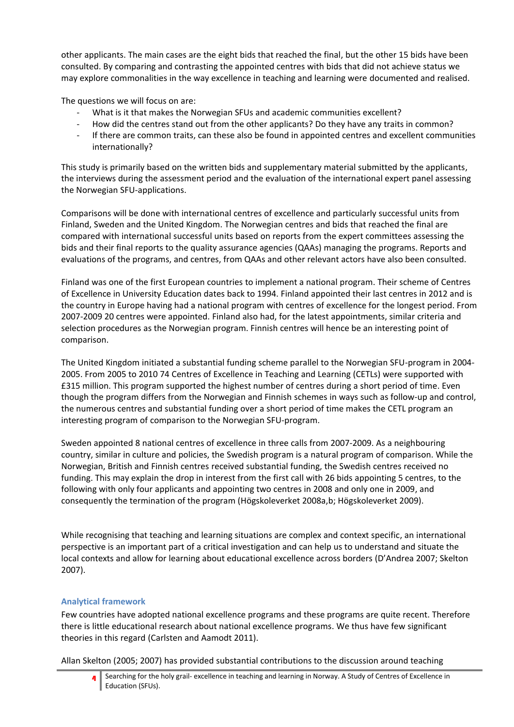other applicants. The main cases are the eight bids that reached the final, but the other 15 bids have been consulted. By comparing and contrasting the appointed centres with bids that did not achieve status we may explore commonalities in the way excellence in teaching and learning were documented and realised.

The questions we will focus on are:

- What is it that makes the Norwegian SFUs and academic communities excellent?
- How did the centres stand out from the other applicants? Do they have any traits in common?
- If there are common traits, can these also be found in appointed centres and excellent communities internationally?

This study is primarily based on the written bids and supplementary material submitted by the applicants, the interviews during the assessment period and the evaluation of the international expert panel assessing the Norwegian SFU-applications.

Comparisons will be done with international centres of excellence and particularly successful units from Finland, Sweden and the United Kingdom. The Norwegian centres and bids that reached the final are compared with international successful units based on reports from the expert committees assessing the bids and their final reports to the quality assurance agencies (QAAs) managing the programs. Reports and evaluations of the programs, and centres, from QAAs and other relevant actors have also been consulted.

Finland was one of the first European countries to implement a national program. Their scheme of Centres of Excellence in University Education dates back to 1994. Finland appointed their last centres in 2012 and is the country in Europe having had a national program with centres of excellence for the longest period. From 2007-2009 20 centres were appointed. Finland also had, for the latest appointments, similar criteria and selection procedures as the Norwegian program. Finnish centres will hence be an interesting point of comparison.

The United Kingdom initiated a substantial funding scheme parallel to the Norwegian SFU-program in 2004- 2005. From 2005 to 2010 74 Centres of Excellence in Teaching and Learning (CETLs) were supported with £315 million. This program supported the highest number of centres during a short period of time. Even though the program differs from the Norwegian and Finnish schemes in ways such as follow-up and control, the numerous centres and substantial funding over a short period of time makes the CETL program an interesting program of comparison to the Norwegian SFU-program.

Sweden appointed 8 national centres of excellence in three calls from 2007-2009. As a neighbouring country, similar in culture and policies, the Swedish program is a natural program of comparison. While the Norwegian, British and Finnish centres received substantial funding, the Swedish centres received no funding. This may explain the drop in interest from the first call with 26 bids appointing 5 centres, to the following with only four applicants and appointing two centres in 2008 and only one in 2009, and consequently the termination of the program (Högskoleverket 2008a,b; Högskoleverket 2009).

While recognising that teaching and learning situations are complex and context specific, an international perspective is an important part of a critical investigation and can help us to understand and situate the local contexts and allow for learning about educational excellence across borders (D'Andrea 2007; Skelton 2007).

# **Analytical framework**

Few countries have adopted national excellence programs and these programs are quite recent. Therefore there is little educational research about national excellence programs. We thus have few significant theories in this regard (Carlsten and Aamodt 2011).

Allan Skelton (2005; 2007) has provided substantial contributions to the discussion around teaching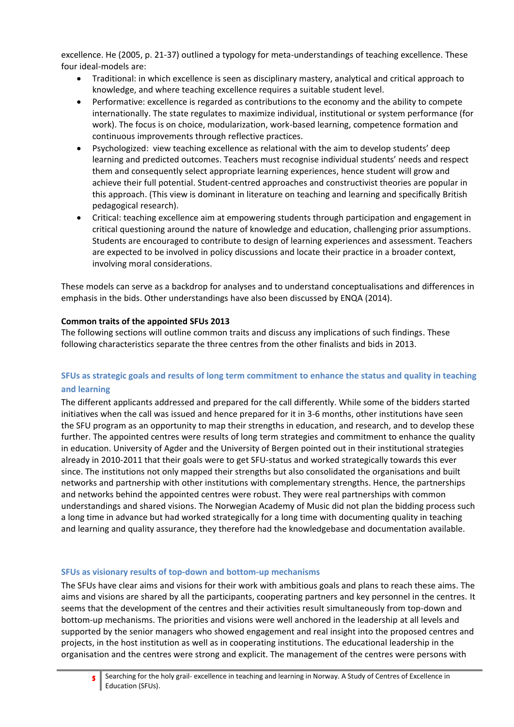excellence. He (2005, p. 21-37) outlined a typology for meta-understandings of teaching excellence. These four ideal-models are:

- Traditional: in which excellence is seen as disciplinary mastery, analytical and critical approach to knowledge, and where teaching excellence requires a suitable student level.
- Performative: excellence is regarded as contributions to the economy and the ability to compete internationally. The state regulates to maximize individual, institutional or system performance (for work). The focus is on choice, modularization, work-based learning, competence formation and continuous improvements through reflective practices.
- Psychologized: view teaching excellence as relational with the aim to develop students' deep learning and predicted outcomes. Teachers must recognise individual students' needs and respect them and consequently select appropriate learning experiences, hence student will grow and achieve their full potential. Student-centred approaches and constructivist theories are popular in this approach. (This view is dominant in literature on teaching and learning and specifically British pedagogical research).
- Critical: teaching excellence aim at empowering students through participation and engagement in critical questioning around the nature of knowledge and education, challenging prior assumptions. Students are encouraged to contribute to design of learning experiences and assessment. Teachers are expected to be involved in policy discussions and locate their practice in a broader context, involving moral considerations.

These models can serve as a backdrop for analyses and to understand conceptualisations and differences in emphasis in the bids. Other understandings have also been discussed by ENQA (2014).

#### **Common traits of the appointed SFUs 2013**

The following sections will outline common traits and discuss any implications of such findings. These following characteristics separate the three centres from the other finalists and bids in 2013.

# **SFUs as strategic goals and results of long term commitment to enhance the status and quality in teaching and learning**

The different applicants addressed and prepared for the call differently. While some of the bidders started initiatives when the call was issued and hence prepared for it in 3-6 months, other institutions have seen the SFU program as an opportunity to map their strengths in education, and research, and to develop these further. The appointed centres were results of long term strategies and commitment to enhance the quality in education. University of Agder and the University of Bergen pointed out in their institutional strategies already in 2010-2011 that their goals were to get SFU-status and worked strategically towards this ever since. The institutions not only mapped their strengths but also consolidated the organisations and built networks and partnership with other institutions with complementary strengths. Hence, the partnerships and networks behind the appointed centres were robust. They were real partnerships with common understandings and shared visions. The Norwegian Academy of Music did not plan the bidding process such a long time in advance but had worked strategically for a long time with documenting quality in teaching and learning and quality assurance, they therefore had the knowledgebase and documentation available.

#### **SFUs as visionary results of top-down and bottom-up mechanisms**

The SFUs have clear aims and visions for their work with ambitious goals and plans to reach these aims. The aims and visions are shared by all the participants, cooperating partners and key personnel in the centres. It seems that the development of the centres and their activities result simultaneously from top-down and bottom-up mechanisms. The priorities and visions were well anchored in the leadership at all levels and supported by the senior managers who showed engagement and real insight into the proposed centres and projects, in the host institution as well as in cooperating institutions. The educational leadership in the organisation and the centres were strong and explicit. The management of the centres were persons with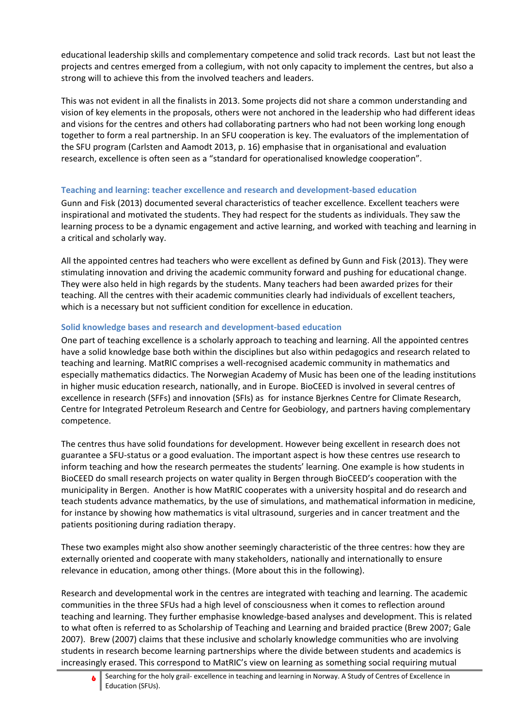educational leadership skills and complementary competence and solid track records. Last but not least the projects and centres emerged from a collegium, with not only capacity to implement the centres, but also a strong will to achieve this from the involved teachers and leaders.

This was not evident in all the finalists in 2013. Some projects did not share a common understanding and vision of key elements in the proposals, others were not anchored in the leadership who had different ideas and visions for the centres and others had collaborating partners who had not been working long enough together to form a real partnership. In an SFU cooperation is key. The evaluators of the implementation of the SFU program (Carlsten and Aamodt 2013, p. 16) emphasise that in organisational and evaluation research, excellence is often seen as a "standard for operationalised knowledge cooperation".

# **Teaching and learning: teacher excellence and research and development-based education**

Gunn and Fisk (2013) documented several characteristics of teacher excellence. Excellent teachers were inspirational and motivated the students. They had respect for the students as individuals. They saw the learning process to be a dynamic engagement and active learning, and worked with teaching and learning in a critical and scholarly way.

All the appointed centres had teachers who were excellent as defined by Gunn and Fisk (2013). They were stimulating innovation and driving the academic community forward and pushing for educational change. They were also held in high regards by the students. Many teachers had been awarded prizes for their teaching. All the centres with their academic communities clearly had individuals of excellent teachers, which is a necessary but not sufficient condition for excellence in education.

# **Solid knowledge bases and research and development-based education**

One part of teaching excellence is a scholarly approach to teaching and learning. All the appointed centres have a solid knowledge base both within the disciplines but also within pedagogics and research related to teaching and learning. MatRIC comprises a well-recognised academic community in mathematics and especially mathematics didactics. The Norwegian Academy of Music has been one of the leading institutions in higher music education research, nationally, and in Europe. BioCEED is involved in several centres of excellence in research (SFFs) and innovation (SFIs) as for instance Bjerknes Centre for Climate Research, Centre for Integrated Petroleum Research and Centre for Geobiology, and partners having complementary competence.

The centres thus have solid foundations for development. However being excellent in research does not guarantee a SFU-status or a good evaluation. The important aspect is how these centres use research to inform teaching and how the research permeates the students' learning. One example is how students in BioCEED do small research projects on water quality in Bergen through BioCEED's cooperation with the municipality in Bergen. Another is how MatRIC cooperates with a university hospital and do research and teach students advance mathematics, by the use of simulations, and mathematical information in medicine, for instance by showing how mathematics is vital ultrasound, surgeries and in cancer treatment and the patients positioning during radiation therapy.

These two examples might also show another seemingly characteristic of the three centres: how they are externally oriented and cooperate with many stakeholders, nationally and internationally to ensure relevance in education, among other things. (More about this in the following).

Research and developmental work in the centres are integrated with teaching and learning. The academic communities in the three SFUs had a high level of consciousness when it comes to reflection around teaching and learning. They further emphasise knowledge-based analyses and development. This is related to what often is referred to as Scholarship of Teaching and Learning and braided practice (Brew 2007; Gale 2007). Brew (2007) claims that these inclusive and scholarly knowledge communities who are involving students in research become learning partnerships where the divide between students and academics is increasingly erased. This correspond to MatRIC's view on learning as something social requiring mutual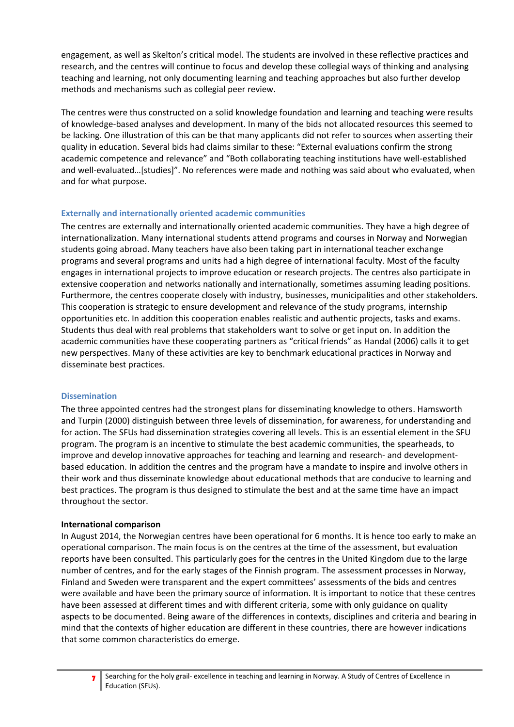engagement, as well as Skelton's critical model. The students are involved in these reflective practices and research, and the centres will continue to focus and develop these collegial ways of thinking and analysing teaching and learning, not only documenting learning and teaching approaches but also further develop methods and mechanisms such as collegial peer review.

The centres were thus constructed on a solid knowledge foundation and learning and teaching were results of knowledge-based analyses and development. In many of the bids not allocated resources this seemed to be lacking. One illustration of this can be that many applicants did not refer to sources when asserting their quality in education. Several bids had claims similar to these: "External evaluations confirm the strong academic competence and relevance" and "Both collaborating teaching institutions have well-established and well-evaluated…[studies]". No references were made and nothing was said about who evaluated, when and for what purpose.

## **Externally and internationally oriented academic communities**

The centres are externally and internationally oriented academic communities. They have a high degree of internationalization. Many international students attend programs and courses in Norway and Norwegian students going abroad. Many teachers have also been taking part in international teacher exchange programs and several programs and units had a high degree of international faculty. Most of the faculty engages in international projects to improve education or research projects. The centres also participate in extensive cooperation and networks nationally and internationally, sometimes assuming leading positions. Furthermore, the centres cooperate closely with industry, businesses, municipalities and other stakeholders. This cooperation is strategic to ensure development and relevance of the study programs, internship opportunities etc. In addition this cooperation enables realistic and authentic projects, tasks and exams. Students thus deal with real problems that stakeholders want to solve or get input on. In addition the academic communities have these cooperating partners as "critical friends" as Handal (2006) calls it to get new perspectives. Many of these activities are key to benchmark educational practices in Norway and disseminate best practices.

#### **Dissemination**

The three appointed centres had the strongest plans for disseminating knowledge to others. Hamsworth and Turpin (2000) distinguish between three levels of dissemination, for awareness, for understanding and for action. The SFUs had dissemination strategies covering all levels. This is an essential element in the SFU program. The program is an incentive to stimulate the best academic communities, the spearheads, to improve and develop innovative approaches for teaching and learning and research- and developmentbased education. In addition the centres and the program have a mandate to inspire and involve others in their work and thus disseminate knowledge about educational methods that are conducive to learning and best practices. The program is thus designed to stimulate the best and at the same time have an impact throughout the sector.

# **International comparison**

In August 2014, the Norwegian centres have been operational for 6 months. It is hence too early to make an operational comparison. The main focus is on the centres at the time of the assessment, but evaluation reports have been consulted. This particularly goes for the centres in the United Kingdom due to the large number of centres, and for the early stages of the Finnish program. The assessment processes in Norway, Finland and Sweden were transparent and the expert committees' assessments of the bids and centres were available and have been the primary source of information. It is important to notice that these centres have been assessed at different times and with different criteria, some with only guidance on quality aspects to be documented. Being aware of the differences in contexts, disciplines and criteria and bearing in mind that the contexts of higher education are different in these countries, there are however indications that some common characteristics do emerge.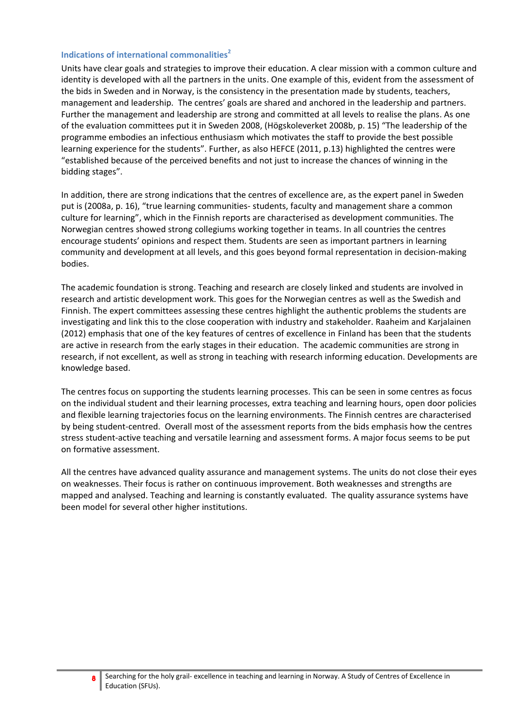#### **Indications of international commonalities<sup>2</sup>**

Units have clear goals and strategies to improve their education. A clear mission with a common culture and identity is developed with all the partners in the units. One example of this, evident from the assessment of the bids in Sweden and in Norway, is the consistency in the presentation made by students, teachers, management and leadership. The centres' goals are shared and anchored in the leadership and partners. Further the management and leadership are strong and committed at all levels to realise the plans. As one of the evaluation committees put it in Sweden 2008, (Högskoleverket 2008b, p. 15) "The leadership of the programme embodies an infectious enthusiasm which motivates the staff to provide the best possible learning experience for the students". Further, as also HEFCE (2011, p.13) highlighted the centres were "established because of the perceived benefits and not just to increase the chances of winning in the bidding stages".

In addition, there are strong indications that the centres of excellence are, as the expert panel in Sweden put is (2008a, p. 16), "true learning communities- students, faculty and management share a common culture for learning", which in the Finnish reports are characterised as development communities. The Norwegian centres showed strong collegiums working together in teams. In all countries the centres encourage students' opinions and respect them. Students are seen as important partners in learning community and development at all levels, and this goes beyond formal representation in decision-making bodies.

The academic foundation is strong. Teaching and research are closely linked and students are involved in research and artistic development work. This goes for the Norwegian centres as well as the Swedish and Finnish. The expert committees assessing these centres highlight the authentic problems the students are investigating and link this to the close cooperation with industry and stakeholder. Raaheim and Karjalainen (2012) emphasis that one of the key features of centres of excellence in Finland has been that the students are active in research from the early stages in their education. The academic communities are strong in research, if not excellent, as well as strong in teaching with research informing education. Developments are knowledge based.

The centres focus on supporting the students learning processes. This can be seen in some centres as focus on the individual student and their learning processes, extra teaching and learning hours, open door policies and flexible learning trajectories focus on the learning environments. The Finnish centres are characterised by being student-centred. Overall most of the assessment reports from the bids emphasis how the centres stress student-active teaching and versatile learning and assessment forms. A major focus seems to be put on formative assessment.

All the centres have advanced quality assurance and management systems. The units do not close their eyes on weaknesses. Their focus is rather on continuous improvement. Both weaknesses and strengths are mapped and analysed. Teaching and learning is constantly evaluated. The quality assurance systems have been model for several other higher institutions.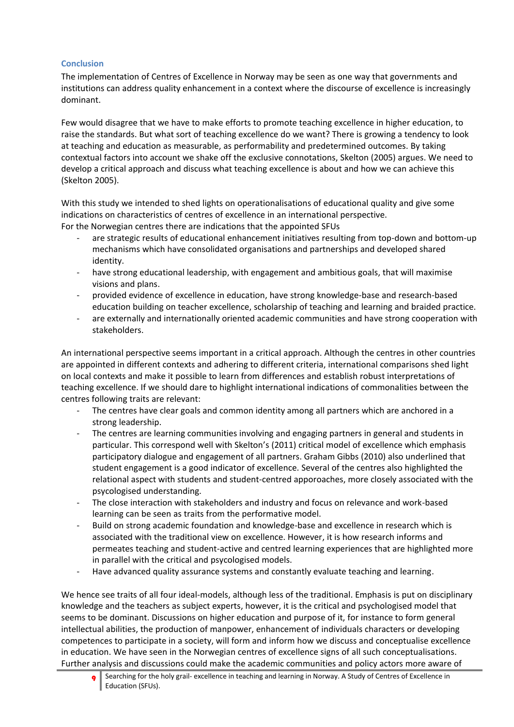### **Conclusion**

The implementation of Centres of Excellence in Norway may be seen as one way that governments and institutions can address quality enhancement in a context where the discourse of excellence is increasingly dominant.

Few would disagree that we have to make efforts to promote teaching excellence in higher education, to raise the standards. But what sort of teaching excellence do we want? There is growing a tendency to look at teaching and education as measurable, as performability and predetermined outcomes. By taking contextual factors into account we shake off the exclusive connotations, Skelton (2005) argues. We need to develop a critical approach and discuss what teaching excellence is about and how we can achieve this (Skelton 2005).

With this study we intended to shed lights on operationalisations of educational quality and give some indications on characteristics of centres of excellence in an international perspective. For the Norwegian centres there are indications that the appointed SFUs

- are strategic results of educational enhancement initiatives resulting from top-down and bottom-up mechanisms which have consolidated organisations and partnerships and developed shared identity.
- have strong educational leadership, with engagement and ambitious goals, that will maximise visions and plans.
- provided evidence of excellence in education, have strong knowledge-base and research-based education building on teacher excellence, scholarship of teaching and learning and braided practice.
- are externally and internationally oriented academic communities and have strong cooperation with stakeholders.

An international perspective seems important in a critical approach. Although the centres in other countries are appointed in different contexts and adhering to different criteria, international comparisons shed light on local contexts and make it possible to learn from differences and establish robust interpretations of teaching excellence. If we should dare to highlight international indications of commonalities between the centres following traits are relevant:

- The centres have clear goals and common identity among all partners which are anchored in a strong leadership.
- The centres are learning communities involving and engaging partners in general and students in particular. This correspond well with Skelton's (2011) critical model of excellence which emphasis participatory dialogue and engagement of all partners. Graham Gibbs (2010) also underlined that student engagement is a good indicator of excellence. Several of the centres also highlighted the relational aspect with students and student-centred apporoaches, more closely associated with the psycologised understanding.
- The close interaction with stakeholders and industry and focus on relevance and work-based learning can be seen as traits from the performative model.
- Build on strong academic foundation and knowledge-base and excellence in research which is associated with the traditional view on excellence. However, it is how research informs and permeates teaching and student-active and centred learning experiences that are highlighted more in parallel with the critical and psycologised models.
- Have advanced quality assurance systems and constantly evaluate teaching and learning.

We hence see traits of all four ideal-models, although less of the traditional. Emphasis is put on disciplinary knowledge and the teachers as subject experts, however, it is the critical and psychologised model that seems to be dominant. Discussions on higher education and purpose of it, for instance to form general intellectual abilities, the production of manpower, enhancement of individuals characters or developing competences to participate in a society, will form and inform how we discuss and conceptualise excellence in education. We have seen in the Norwegian centres of excellence signs of all such conceptualisations. Further analysis and discussions could make the academic communities and policy actors more aware of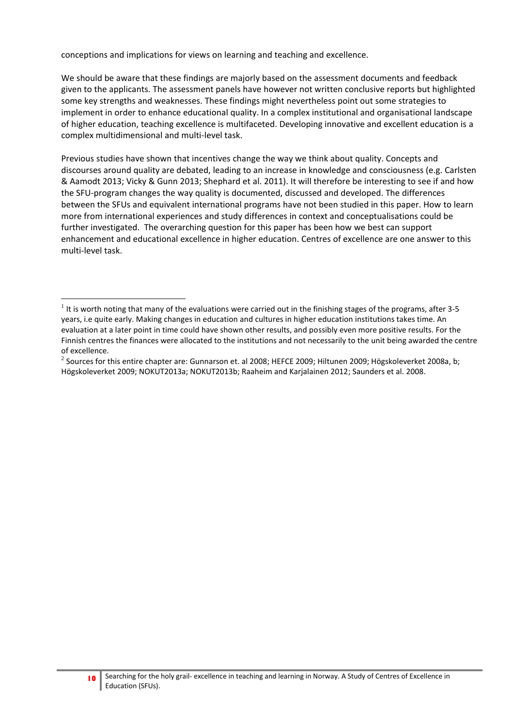conceptions and implications for views on learning and teaching and excellence.

 $\overline{a}$ 

We should be aware that these findings are majorly based on the assessment documents and feedback given to the applicants. The assessment panels have however not written conclusive reports but highlighted some key strengths and weaknesses. These findings might nevertheless point out some strategies to implement in order to enhance educational quality. In a complex institutional and organisational landscape of higher education, teaching excellence is multifaceted. Developing innovative and excellent education is a complex multidimensional and multi-level task.

Previous studies have shown that incentives change the way we think about quality. Concepts and discourses around quality are debated, leading to an increase in knowledge and consciousness (e.g. Carlsten & Aamodt 2013; Vicky & Gunn 2013; Shephard et al. 2011). It will therefore be interesting to see if and how the SFU-program changes the way quality is documented, discussed and developed. The differences between the SFUs and equivalent international programs have not been studied in this paper. How to learn more from international experiences and study differences in context and conceptualisations could be further investigated. The overarching question for this paper has been how we best can support enhancement and educational excellence in higher education. Centres of excellence are one answer to this multi-level task.

 $^1$  It is worth noting that many of the evaluations were carried out in the finishing stages of the programs, after 3-5 years, i.e quite early. Making changes in education and cultures in higher education institutions takes time. An evaluation at a later point in time could have shown other results, and possibly even more positive results. For the Finnish centres the finances were allocated to the institutions and not necessarily to the unit being awarded the centre of excellence.

 $^2$  Sources for this entire chapter are: Gunnarson et. al 2008; HEFCE 2009; Hiltunen 2009; Högskoleverket 2008a, b; Högskoleverket 2009; NOKUT2013a; NOKUT2013b; Raaheim and Karjalainen 2012; Saunders et al. 2008.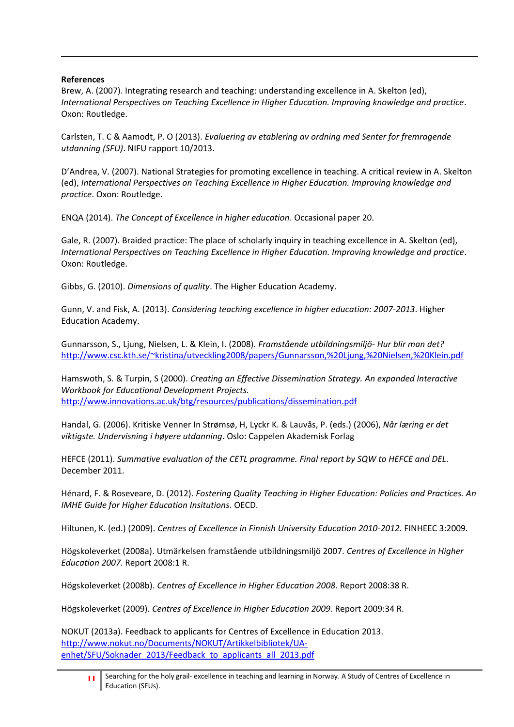## **References**

 $\overline{a}$ 

Brew, A. (2007). Integrating research and teaching: understanding excellence in A. Skelton (ed), *International Perspectives on Teaching Excellence in Higher Education. Improving knowledge and practice*. Oxon: Routledge.

Carlsten, T. C & Aamodt, P. O (2013). *Evaluering av etablering av ordning med Senter for fremragende utdanning (SFU)*. NIFU rapport 10/2013.

D'Andrea, V. (2007). National Strategies for promoting excellence in teaching. A critical review in A. Skelton (ed), *International Perspectives on Teaching Excellence in Higher Education. Improving knowledge and practice*. Oxon: Routledge.

ENQA (2014). *The Concept of Excellence in higher education*. Occasional paper 20.

Gale, R. (2007). Braided practice: The place of scholarly inquiry in teaching excellence in A. Skelton (ed), *International Perspectives on Teaching Excellence in Higher Education. Improving knowledge and practice*. Oxon: Routledge.

Gibbs, G. (2010). *Dimensions of quality*. The Higher Education Academy.

Gunn, V. and Fisk, A. (2013). *Considering teaching excellence in higher education: 2007-2013*. Higher Education Academy.

Gunnarsson, S., Ljung, Nielsen, L. & Klein, I. (2008). *Framstående utbildningsmiljö- Hur blir man det?* <http://www.csc.kth.se/~kristina/utveckling2008/papers/Gunnarsson,%20Ljung,%20Nielsen,%20Klein.pdf>

Hamswoth, S. & Turpin, S (2000). *Creating an Effective Dissemination Strategy. An expanded Interactive Workbook for Educational Development Projects.*  <http://www.innovations.ac.uk/btg/resources/publications/dissemination.pdf>

Handal, G. (2006). Kritiske Venner In Strømsø, H, Lyckr K. & Lauvås, P. (eds.) (2006), *Når læring er det viktigste. Undervisning i høyere utdanning*. Oslo: Cappelen Akademisk Forlag

HEFCE (2011). *Summative evaluation of the CETL programme. Final report by SQW to HEFCE and DEL*. December 2011.

Hénard, F. & Roseveare, D. (2012). *Fostering Quality Teaching in Higher Education: Policies and Practices. An IMHE Guide for Higher Education Insitutions*. OECD.

Hiltunen, K. (ed.) (2009). *Centres of Excellence in Finnish University Education 2010-2012.* FINHEEC 3:2009*.*

Högskoleverket (2008a). Utmärkelsen framstående utbildningsmiljö 2007. *Centres of Excellence in Higher Education 2007*. Report 2008:1 R.

Högskoleverket (2008b). *Centres of Excellence in Higher Education 2008*. Report 2008:38 R.

Högskoleverket (2009). *Centres of Excellence in Higher Education 2009*. Report 2009:34 R.

NOKUT (2013a). Feedback to applicants for Centres of Excellence in Education 2013. [http://www.nokut.no/Documents/NOKUT/Artikkelbibliotek/UA](http://www.nokut.no/Documents/NOKUT/Artikkelbibliotek/UA-enhet/SFU/Soknader_2013/Feedback_to_applicants_all_2013.pdf)enhet/SFU/Soknader\_2013/Feedback\_to\_applicants\_all\_2013.pdf